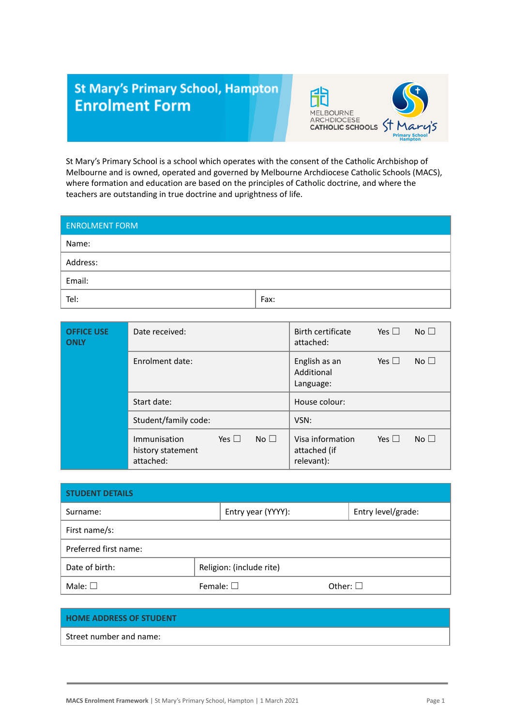## **St Mary's Primary School, Hampton Enrolment Form**



St Mary's Primary School is a school which operates with the consent of the Catholic Archbishop of Melbourne and is owned, operated and governed by Melbourne Archdiocese Catholic Schools (MACS), where formation and education are based on the principles of Catholic doctrine, and where the teachers are outstanding in true doctrine and uprightness of life.

| <b>ENROLMENT FORM</b> |      |
|-----------------------|------|
| Name:                 |      |
| Address:              |      |
| Email:                |      |
| Tel:                  | Fax: |

| <b>OFFICE USE</b><br><b>ONLY</b> | Date received:                                                                  | No $\square$<br>Birth certificate<br>Yes $\Box$<br>attached:                    |
|----------------------------------|---------------------------------------------------------------------------------|---------------------------------------------------------------------------------|
|                                  | Enrolment date:                                                                 | No $\square$<br>Yes $\Box$<br>English as an<br>Additional<br>Language:          |
|                                  | Start date:                                                                     | House colour:                                                                   |
|                                  | Student/family code:                                                            | VSN:                                                                            |
|                                  | No <sub>1</sub><br>Yes $\Box$<br>Immunisation<br>history statement<br>attached: | No <sub>1</sub><br>Yes $\Box$<br>Visa information<br>attached (if<br>relevant): |

| <b>STUDENT DETAILS</b> |                          |                  |                    |  |
|------------------------|--------------------------|------------------|--------------------|--|
| Surname:               | Entry year (YYYY):       |                  | Entry level/grade: |  |
| First name/s:          |                          |                  |                    |  |
| Preferred first name:  |                          |                  |                    |  |
| Date of birth:         | Religion: (include rite) |                  |                    |  |
| Male: $\square$        | Female: $\square$        | Other: $\square$ |                    |  |

## **HOME ADDRESS OF STUDENT**

Street number and name: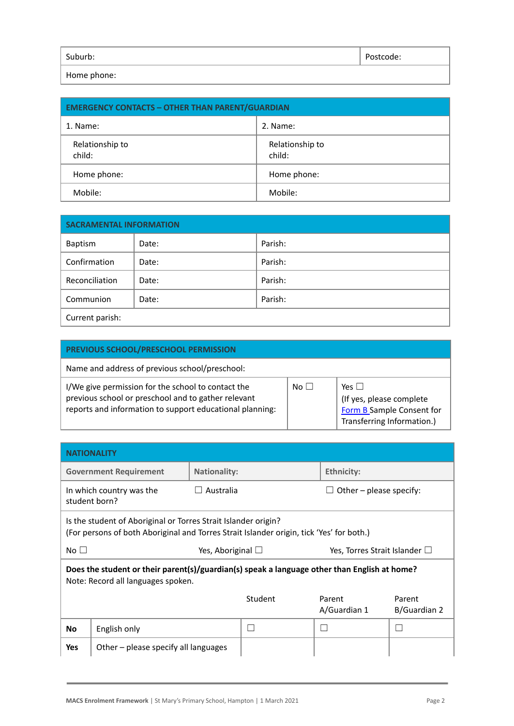| Suburb:                       | ∴ode: |
|-------------------------------|-------|
| المتحامل والمرابط ومحرمة اللا |       |

Home phone:

| <b>EMERGENCY CONTACTS - OTHER THAN PARENT/GUARDIAN</b> |                           |  |
|--------------------------------------------------------|---------------------------|--|
| 1. Name:                                               | 2. Name:                  |  |
| Relationship to<br>child:                              | Relationship to<br>child: |  |
| Home phone:                                            | Home phone:               |  |
| Mobile:                                                | Mobile:                   |  |

| <b>SACRAMENTAL INFORMATION</b> |       |         |  |
|--------------------------------|-------|---------|--|
| Baptism                        | Date: | Parish: |  |
| Confirmation                   | Date: | Parish: |  |
| Reconciliation                 | Date: | Parish: |  |
| Communion                      | Date: | Parish: |  |
| Current parish:                |       |         |  |

| PREVIOUS SCHOOL/PRESCHOOL PERMISSION                                                                                                                                  |             |                                                                                                        |
|-----------------------------------------------------------------------------------------------------------------------------------------------------------------------|-------------|--------------------------------------------------------------------------------------------------------|
| Name and address of previous school/preschool:                                                                                                                        |             |                                                                                                        |
| I/We give permission for the school to contact the<br>previous school or preschool and to gather relevant<br>reports and information to support educational planning: | $No$ $\Box$ | Yes $  \cdot  $<br>(If yes, please complete<br>Form B Sample Consent for<br>Transferring Information.) |

| <b>NATIONALITY</b>                                                                                                                                         |                                           |                                                              |         |                           |                        |
|------------------------------------------------------------------------------------------------------------------------------------------------------------|-------------------------------------------|--------------------------------------------------------------|---------|---------------------------|------------------------|
|                                                                                                                                                            | <b>Government Requirement</b>             | <b>Nationality:</b>                                          |         | Ethnicity:                |                        |
|                                                                                                                                                            | In which country was the<br>student born? | Australia                                                    |         | Other $-$ please specify: |                        |
| Is the student of Aboriginal or Torres Strait Islander origin?<br>(For persons of both Aboriginal and Torres Strait Islander origin, tick 'Yes' for both.) |                                           |                                                              |         |                           |                        |
| No $\square$                                                                                                                                               |                                           | Yes, Aboriginal $\Box$<br>Yes, Torres Strait Islander $\Box$ |         |                           |                        |
| Does the student or their parent(s)/guardian(s) speak a language other than English at home?<br>Note: Record all languages spoken.                         |                                           |                                                              |         |                           |                        |
|                                                                                                                                                            |                                           |                                                              | Student | Parent<br>A/Guardian 1    | Parent<br>B/Guardian 2 |
| <b>No</b>                                                                                                                                                  | English only                              |                                                              |         |                           |                        |
| <b>Yes</b>                                                                                                                                                 | Other $-$ please specify all languages    |                                                              |         |                           |                        |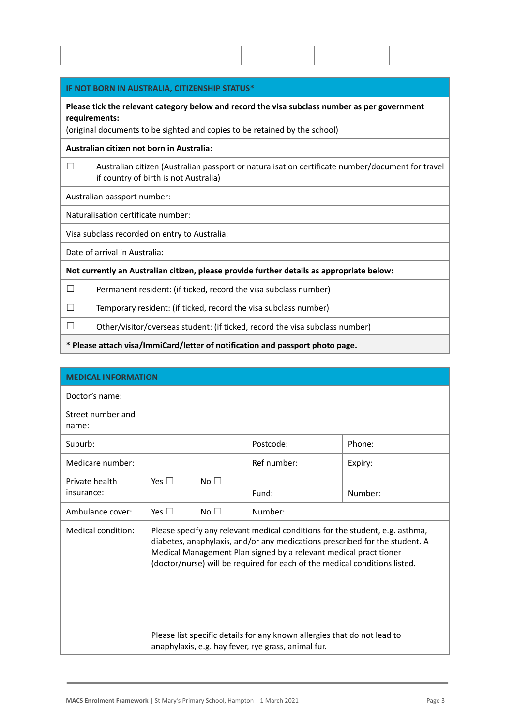| IF NOT BORN IN AUSTRALIA, CITIZENSHIP STATUS*                                                                                                                                                |                                                                                                                                           |  |  |
|----------------------------------------------------------------------------------------------------------------------------------------------------------------------------------------------|-------------------------------------------------------------------------------------------------------------------------------------------|--|--|
| Please tick the relevant category below and record the visa subclass number as per government<br>requirements:<br>(original documents to be sighted and copies to be retained by the school) |                                                                                                                                           |  |  |
| Australian citizen not born in Australia:                                                                                                                                                    |                                                                                                                                           |  |  |
| П                                                                                                                                                                                            | Australian citizen (Australian passport or naturalisation certificate number/document for travel<br>if country of birth is not Australia) |  |  |
| Australian passport number:                                                                                                                                                                  |                                                                                                                                           |  |  |
| Naturalisation certificate number:                                                                                                                                                           |                                                                                                                                           |  |  |
| Visa subclass recorded on entry to Australia:                                                                                                                                                |                                                                                                                                           |  |  |
| Date of arrival in Australia:                                                                                                                                                                |                                                                                                                                           |  |  |
|                                                                                                                                                                                              | Not currently an Australian citizen, please provide further details as appropriate below:                                                 |  |  |
| $\mathsf{L}$                                                                                                                                                                                 | Permanent resident: (if ticked, record the visa subclass number)                                                                          |  |  |
|                                                                                                                                                                                              | Temporary resident: (if ticked, record the visa subclass number)                                                                          |  |  |
|                                                                                                                                                                                              | Other/visitor/overseas student: (if ticked, record the visa subclass number)                                                              |  |  |
|                                                                                                                                                                                              | * Please attach visa/ImmiCard/letter of notification and passport photo page.                                                             |  |  |

| <b>MEDICAL INFORMATION</b>   |            |           |                                                                                                                                                                                                                                                                                                                |         |
|------------------------------|------------|-----------|----------------------------------------------------------------------------------------------------------------------------------------------------------------------------------------------------------------------------------------------------------------------------------------------------------------|---------|
| Doctor's name:               |            |           |                                                                                                                                                                                                                                                                                                                |         |
| Street number and<br>name:   |            |           |                                                                                                                                                                                                                                                                                                                |         |
| Suburb:                      |            |           | Postcode:                                                                                                                                                                                                                                                                                                      | Phone:  |
| Medicare number:             |            |           | Ref number:                                                                                                                                                                                                                                                                                                    | Expiry: |
| Private health<br>insurance: | Yes $\Box$ | No $\Box$ | Fund:                                                                                                                                                                                                                                                                                                          | Number: |
| Ambulance cover:             | Yes $\Box$ | No $\Box$ | Number:                                                                                                                                                                                                                                                                                                        |         |
| Medical condition:           |            |           | Please specify any relevant medical conditions for the student, e.g. asthma,<br>diabetes, anaphylaxis, and/or any medications prescribed for the student. A<br>Medical Management Plan signed by a relevant medical practitioner<br>(doctor/nurse) will be required for each of the medical conditions listed. |         |
|                              |            |           | Please list specific details for any known allergies that do not lead to<br>anaphylaxis, e.g. hay fever, rye grass, animal fur.                                                                                                                                                                                |         |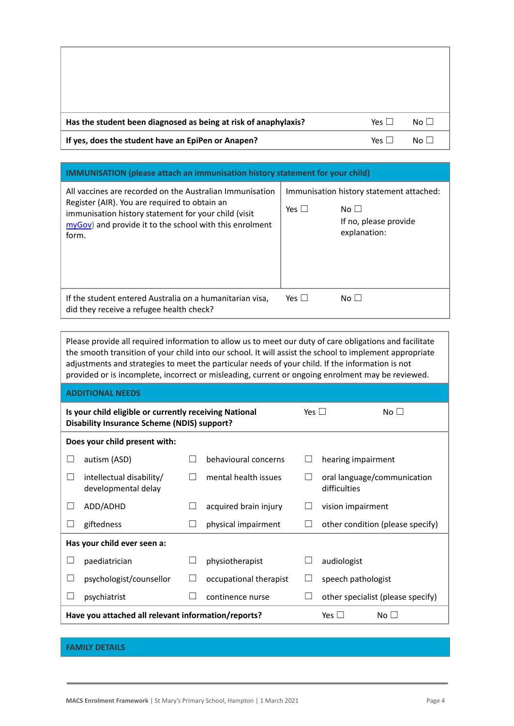| Has the student been diagnosed as being at risk of anaphylaxis? | Yes $\Box$ | No $\square$    |
|-----------------------------------------------------------------|------------|-----------------|
| If yes, does the student have an EpiPen or Anapen?              | Yes $\Box$ | No <sub>1</sub> |

| <b>IMMUNISATION</b> (please attach an immunisation history statement for your child)                                                                                                                                                     |            |                                                                                                |  |  |  |
|------------------------------------------------------------------------------------------------------------------------------------------------------------------------------------------------------------------------------------------|------------|------------------------------------------------------------------------------------------------|--|--|--|
| All vaccines are recorded on the Australian Immunisation<br>Register (AIR). You are required to obtain an<br>immunisation history statement for your child (visit<br>$myGov$ ) and provide it to the school with this enrolment<br>form. | Yes $\Box$ | Immunisation history statement attached:<br>No $\Box$<br>If no, please provide<br>explanation: |  |  |  |
| If the student entered Australia on a humanitarian visa,<br>did they receive a refugee health check?                                                                                                                                     | Yes $\Box$ | No <sub>1</sub>                                                                                |  |  |  |

Please provide all required information to allow us to meet our duty of care obligations and facilitate the smooth transition of your child into our school. It will assist the school to implement appropriate adjustments and strategies to meet the particular needs of your child. If the information is not provided or is incomplete, incorrect or misleading, current or ongoing enrolment may be reviewed.

| <b>ADDITIONAL NEEDS</b> |                                                                                                              |            |                        |  |                                             |  |
|-------------------------|--------------------------------------------------------------------------------------------------------------|------------|------------------------|--|---------------------------------------------|--|
|                         | Is your child eligible or currently receiving National<br><b>Disability Insurance Scheme (NDIS) support?</b> | Yes $\Box$ | No $\square$           |  |                                             |  |
|                         | Does your child present with:                                                                                |            |                        |  |                                             |  |
|                         | autism (ASD)                                                                                                 |            | behavioural concerns   |  | hearing impairment                          |  |
|                         | intellectual disability/<br>developmental delay                                                              |            | mental health issues   |  | oral language/communication<br>difficulties |  |
| L                       | ADD/ADHD                                                                                                     |            | acquired brain injury  |  | vision impairment                           |  |
|                         | giftedness                                                                                                   |            | physical impairment    |  | other condition (please specify)            |  |
|                         | Has your child ever seen a:                                                                                  |            |                        |  |                                             |  |
| ப                       | paediatrician                                                                                                |            | physiotherapist        |  | audiologist                                 |  |
|                         | psychologist/counsellor                                                                                      |            | occupational therapist |  | speech pathologist                          |  |
|                         | psychiatrist                                                                                                 |            | continence nurse       |  | other specialist (please specify)           |  |
|                         | Have you attached all relevant information/reports?<br>Yes $\Box$<br>No $\Box$                               |            |                        |  |                                             |  |

## **FAMILY DETAILS**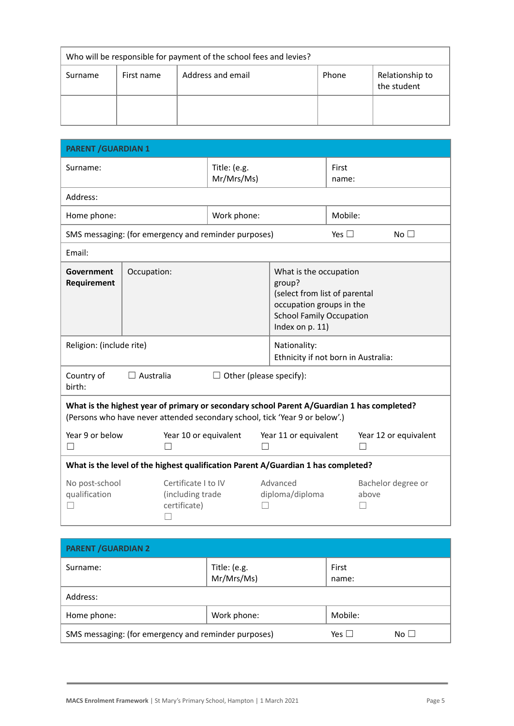| Who will be responsible for payment of the school fees and levies? |  |                   |       |                                |  |
|--------------------------------------------------------------------|--|-------------------|-------|--------------------------------|--|
| First name<br>Surname                                              |  | Address and email | Phone | Relationship to<br>the student |  |
|                                                                    |  |                   |       |                                |  |

| <b>PARENT / GUARDIAN 1</b>                                                                                                                                                |             |                                                         |                                                      |  |                                                                                                                                                     |                       |                             |  |
|---------------------------------------------------------------------------------------------------------------------------------------------------------------------------|-------------|---------------------------------------------------------|------------------------------------------------------|--|-----------------------------------------------------------------------------------------------------------------------------------------------------|-----------------------|-----------------------------|--|
| Surname:                                                                                                                                                                  |             |                                                         | Title: (e.g.<br>Mr/Mrs/Ms)                           |  | First<br>name:                                                                                                                                      |                       |                             |  |
| Address:                                                                                                                                                                  |             |                                                         |                                                      |  |                                                                                                                                                     |                       |                             |  |
| Home phone:                                                                                                                                                               |             |                                                         | Work phone:                                          |  | Mobile:                                                                                                                                             |                       |                             |  |
|                                                                                                                                                                           |             |                                                         | SMS messaging: (for emergency and reminder purposes) |  | Yes $\square$                                                                                                                                       |                       | No <sub>1</sub>             |  |
| Email:                                                                                                                                                                    |             |                                                         |                                                      |  |                                                                                                                                                     |                       |                             |  |
| Government<br>Requirement                                                                                                                                                 | Occupation: |                                                         |                                                      |  | What is the occupation<br>group?<br>(select from list of parental<br>occupation groups in the<br><b>School Family Occupation</b><br>Index on p. 11) |                       |                             |  |
| Religion: (include rite)                                                                                                                                                  |             |                                                         |                                                      |  | Nationality:<br>Ethnicity if not born in Australia:                                                                                                 |                       |                             |  |
| Country of<br>$\Box$ Australia<br>$\Box$ Other (please specify):<br>birth:                                                                                                |             |                                                         |                                                      |  |                                                                                                                                                     |                       |                             |  |
| What is the highest year of primary or secondary school Parent A/Guardian 1 has completed?<br>(Persons who have never attended secondary school, tick 'Year 9 or below'.) |             |                                                         |                                                      |  |                                                                                                                                                     |                       |                             |  |
| Year 9 or below<br>Year 10 or equivalent<br>$\vert \ \ \vert$<br>$\Box$                                                                                                   |             | Year 11 or equivalent<br>$\Box$                         |                                                      |  |                                                                                                                                                     | Year 12 or equivalent |                             |  |
| What is the level of the highest qualification Parent A/Guardian 1 has completed?                                                                                         |             |                                                         |                                                      |  |                                                                                                                                                     |                       |                             |  |
| No post-school<br>qualification                                                                                                                                           |             | Certificate I to IV<br>(including trade<br>certificate) |                                                      |  | Advanced<br>diploma/diploma                                                                                                                         |                       | Bachelor degree or<br>above |  |

| <b>PARENT / GUARDIAN 2</b>                                                      |                            |                |  |  |  |
|---------------------------------------------------------------------------------|----------------------------|----------------|--|--|--|
| Surname:                                                                        | Title: (e.g.<br>Mr/Mrs/Ms) | First<br>name: |  |  |  |
| Address:                                                                        |                            |                |  |  |  |
| Home phone:                                                                     | Work phone:                | Mobile:        |  |  |  |
| SMS messaging: (for emergency and reminder purposes)<br>No $\Box$<br>Yes $\Box$ |                            |                |  |  |  |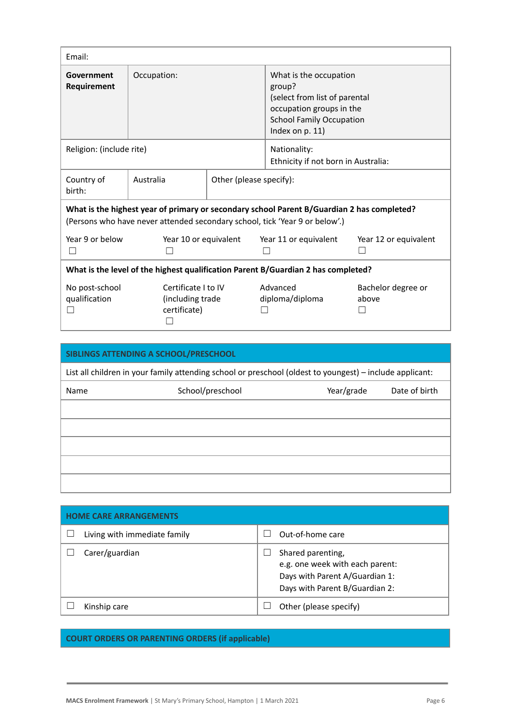| Email:                                                                                                                                                                    |                                                         |  |                                                                                                                                                     |                             |  |
|---------------------------------------------------------------------------------------------------------------------------------------------------------------------------|---------------------------------------------------------|--|-----------------------------------------------------------------------------------------------------------------------------------------------------|-----------------------------|--|
| Government<br>Requirement                                                                                                                                                 | Occupation:                                             |  | What is the occupation<br>group?<br>(select from list of parental<br>occupation groups in the<br><b>School Family Occupation</b><br>Index on p. 11) |                             |  |
| Religion: (include rite)                                                                                                                                                  |                                                         |  | Nationality:<br>Ethnicity if not born in Australia:                                                                                                 |                             |  |
| Country of<br>birth:                                                                                                                                                      | Australia<br>Other (please specify):                    |  |                                                                                                                                                     |                             |  |
| What is the highest year of primary or secondary school Parent B/Guardian 2 has completed?<br>(Persons who have never attended secondary school, tick 'Year 9 or below'.) |                                                         |  |                                                                                                                                                     |                             |  |
| Year 9 or below                                                                                                                                                           | Year 10 or equivalent                                   |  | Year 11 or equivalent                                                                                                                               | Year 12 or equivalent       |  |
| What is the level of the highest qualification Parent B/Guardian 2 has completed?                                                                                         |                                                         |  |                                                                                                                                                     |                             |  |
| No post-school<br>qualification                                                                                                                                           | Certificate I to IV<br>(including trade<br>certificate) |  | Advanced<br>diploma/diploma                                                                                                                         | Bachelor degree or<br>above |  |

| SIBLINGS ATTENDING A SCHOOL/PRESCHOOL                                                                    |                  |            |               |  |
|----------------------------------------------------------------------------------------------------------|------------------|------------|---------------|--|
| List all children in your family attending school or preschool (oldest to youngest) – include applicant: |                  |            |               |  |
| Name                                                                                                     | School/preschool | Year/grade | Date of birth |  |
|                                                                                                          |                  |            |               |  |
|                                                                                                          |                  |            |               |  |
|                                                                                                          |                  |            |               |  |
|                                                                                                          |                  |            |               |  |
|                                                                                                          |                  |            |               |  |

| <b><i>ME CARE ARRANGEMENTS</i></b> |                              |  |                                                                                                                          |  |  |
|------------------------------------|------------------------------|--|--------------------------------------------------------------------------------------------------------------------------|--|--|
|                                    | Living with immediate family |  | Out-of-home care                                                                                                         |  |  |
|                                    | Carer/guardian               |  | Shared parenting,<br>e.g. one week with each parent:<br>Days with Parent A/Guardian 1:<br>Days with Parent B/Guardian 2: |  |  |
|                                    | Kinship care                 |  | Other (please specify)                                                                                                   |  |  |

## **COURT ORDERS OR PARENTING ORDERS (if applicable)**